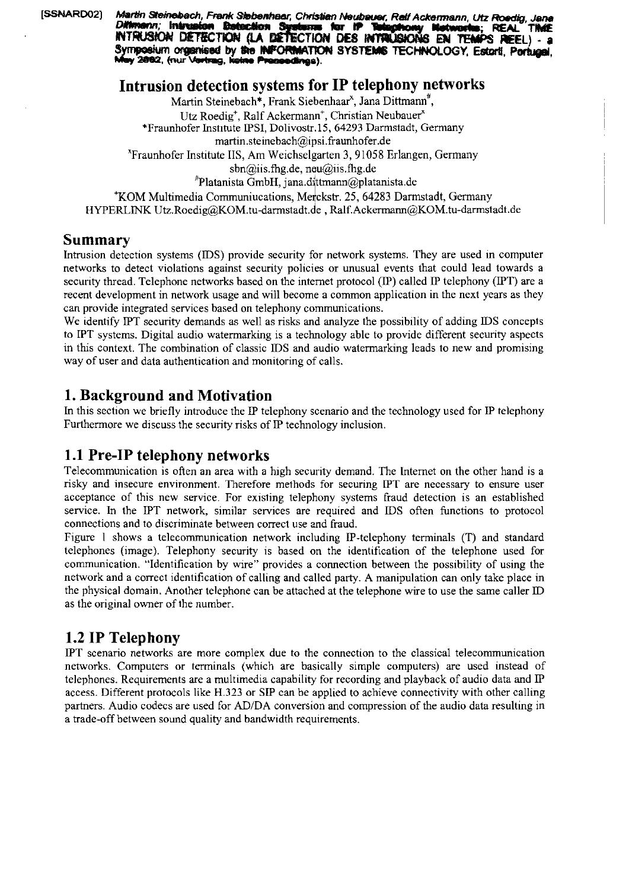[SSNARD02]

Martin Steinebach, Frank Stebenhaar, Christian Neubauer, Ralf Ackermann, Utz Roedig Diffmenn; Intrusion Detaction Sys berne for iP REAL INTRUSION DETECTION (LA DETECTION DES INTRUSIONS EN TEMPS REEL) Symposium organised by the INFORMATION SYSTEMS TECHNOLOGY, Estorti, Portugal, ny 2082, (nur Vortrag, keine Preceedings).

## **Intrusion detection systems for IP telephony networks**

Martin Steinebach\*, Frank Siebenhaar<sup>x</sup>, Jana Dittmann<sup>#</sup>, Utz Roedig<sup>+</sup>, Ralf Ackermann<sup>+</sup>, Christian Neubauer<sup>x</sup> \*Fraunhofer Institute IPSI, Dolivostr.15, 64293 Darmstadt, Germany martin.steinebach@ipsi.fraunhofer.de "Fraunhofer Institute IIS, Am Weichselgarten 3,91058 Erlangen, Germany sbn@iis.fhg.de, neu@iis.fhg.de  $P$ latanista GmbH, jana.dittmann@platanista.de <sup>+</sup>KOM Multimedia Communiucations, Merckstr. 25, 64283 Darmstadt, Germany HYPERLINK Utz.Roedig@KOM.tu-darmstadt.de, Ralf.Ackermann@KOM.tu-darmstadt.de

#### **Summary**

Intrusion detection systems (IDS) provide security for network systems. They are used in computer networks to detect violations against security policies or unusual events that could lead towards a security thread. Telephone networks based on the internet protocol (IP) called IP telephony (IPT) are a recent development in network usage and will become a common application in the next years as they can provide integrated services based on telephony communications.

We identify PT security demands as well as risks and analyze the possibility of adding iDS concepts to PT systems. Digital audio watermarking is a technology able to provide different security aspects in this context. The combination of classic iDS and audio watermarking leads to new and promising way of user and data authentication and monitoring of calls.

## **1. Background and Motivation**

In this section we briefly introduce the IP telephony scenario and the technology used for IP telephony Furthermore we discuss the security risks of IP technology inclusion.

# **1.1 Pre-IP telephony networks**

Telecommunication is often an area with a high security demand. The internet on the other hand is a risky and insecure environment. Therefore methods for securing IPT are necessary to ensure user acceptance of this new scrvice. For existing telephony systems fraud detection is an established service. In the PT network, similar services are required and IDS often functions to protocol connections and to discriminate between correct use and fraud.

Figure 1 shows a telecommunication network including IP-telephony terminals (T) and standard telephones (image). Telephony security is based on the identification of the telephone used for communication. "Identification by wire" provides a comection between the possibility of using the network and a correct identification of calling and called party. A manipulation can only take place in the physical domain. Another telephone can be attached at the telephone wire to use the same caller iD as the original owner of the number.

# **1.2 IP Telephony**

IPT scenario networks are more complex due to the connection to the classical telecommunication networks. Computers or terminals (which are basically simple computers) are used instead of telephones. Requirements are a multimedia capability for recording and playback of audio data and P access. Different protocols like H.323 or SP can be applied to achieve connectivity with other calling Partners. Audio codecs are used for ADIDA conversion and compression of the audio data resulting in a trade-off between sound quality and bandwidth requirements.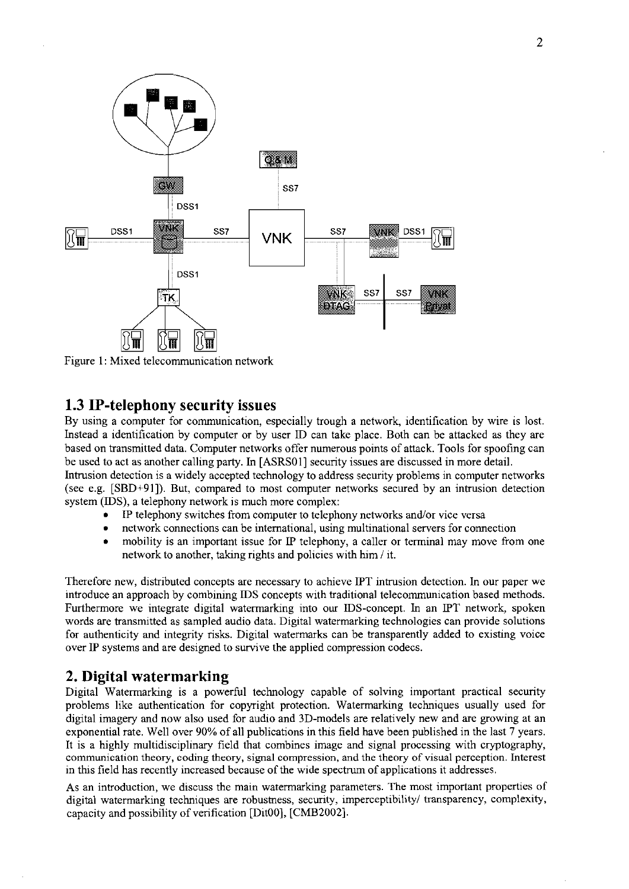

Figure 1: Mixed telecommunication network

#### **1.3 IP-telephony security issues**

By using a computer for communication, especially trough a network, identification by wire is lost. Instead a identification by computer or by user ID can take place. Both can be attacked as they are based on transmitted data. Computer networks offer numerous points of attack. Tools for spoofing can be used to act as another calling party. In [ASRS01] security issues are discussed in more detail. Intrusion detection is a widely accepted technology to address security problems in computer networks (see e.g. [SBD+91]). But, compared to most computer networks secured by an intrusion detection system (IDS), a telephony network is much more complex:

- IP telephony switches from computer to telephony networks and/or vice versa
- network connections can be international, using multinational Servers for connection
- $\bullet$ mobility is an important issue for IP telephony, a caller or terminal may move from one network to another, taking rights and policies with him / it.

Therefore new, distributed concepts are necessary to achieve PT intrusion detection. in our paper we introduce an approach by combining IDS concepts with traditional telecommunication based methods. Furthermore we integrate digital watemarking into our IDS-concept. in an IPT network, spoken words are transmitted as sampled audio data. Digital watermarking technologies can provide solutions for authenticity and integrity risks. Digital watermarks can be transparently added to existing voice over IP Systems and are designed to survive the applied compression codecs.

## **2. Digital watermarking**

Digital Watemarking is a powerful technology capable of solving important practical secunty problems like authentication for copyright protection. Watermarking techniques usually used for digital imagery and now also used for audio and 3D-models are relatively new and are growing at an exponential rate. Well over 90% of all publications in this field have been published in the last 7 years. It is a highly multidisciplinary field that combines image and signal processing with cryptography, communication theory, coding theory, signal compression, and the theory of visual perception. Interest in this field has recently increased because of the wide spectrum of applications it addresses.

As an introduction, we discuss the main watermarking parameters. The most important properties of digital watermarking techniques are robustness, security, imperceptibility/ transparency, complexity, capacity and possibility of verification [DitOO], [CMB2002].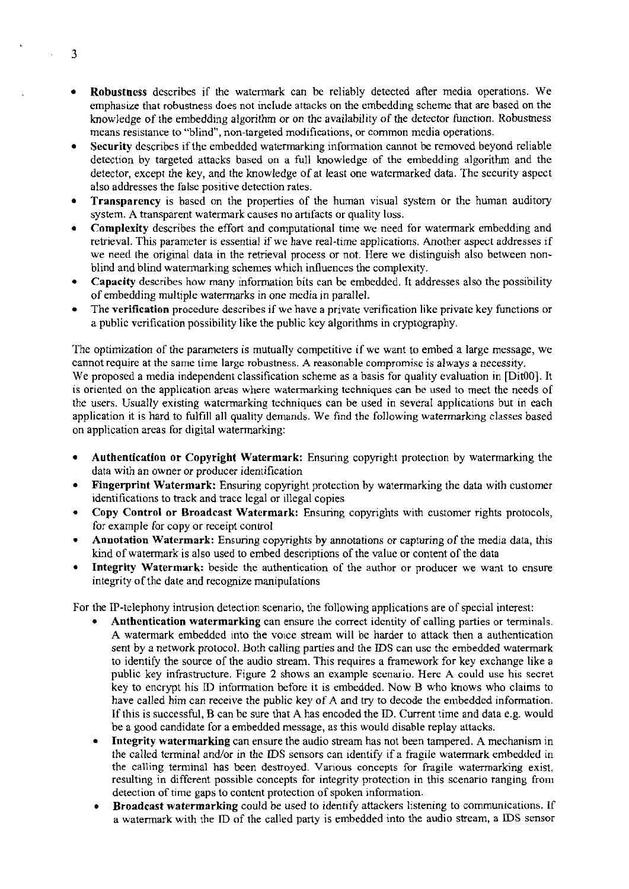- Robustness describes if the watermark can be reliably detected afler media operations. We  $\bullet$ emphasize that robustness does not include attacks on the embedding scheme that are based on the knowledge of the ernbedding algorithm or on the availability of the detector function. Robustness means resistance to "blind", non-targeted modifications, or common media operations.
- $\bullet$ Security describes if the embedded watermarking infomation cannot be removed beyond reliable detection by targeted attacks based on **a** full lmowledge of the embedding algorithm and the detector, except the key, and the knowledge of at least one watermarked data. The security aspect also addresses the false positive detection rates.
- Transparency is based on the properties of the human visual system or the human auditory system. **A** transparent watermark causes no artifacts or quality loss.
- Complexity describes the effort and computational time we need for watermark embedding and retrieval. This parameter is essential if we have real-time applications. Another aspect addresses if we need the original data in the retrieval process or not. Here we distinguish also between nonblind and blind watemarking schernes which influences the complexity.
- Capacity describes how many information bits can be ernbedded. It addresses also the possibility of ernbedding multiple watermarks in one media in parallel.
- The verification procedure describes if we have a private verification like private key functions or  $\bullet$ a public verification possibility like the public key algorithms in cryptography.

The optimization of the parameters is mutually competitive if we want to embed a large message, we cannot require at the same time largc robustness. **A** reasonable cornpromise is always a necessity. We proposed a media independent classification scheme as a basis for quality evaluation in [Dit00]. It is oriented on the application arcas where watermarking techniques can be used to meet the needs of the Users. Usually existing watermarking techniques can be used in several applications but in each application it is hard to fulfill all quality demands. We find thc following watermarking classes based on application areas for digital watermarking:

- Authentication or Copyright Watermark: Ensuring copyright protection by watermarking the data with an owner or producer idenrification
- Fingerprint Watermark: Ensuring copyright protection by watermarking the data with customer identifications to track and trace legal or illegal copies
- Copy Control or Broadcast Watermark: Ensuring copyrights with customer rights protocols, for example for copy or receipt control
- Annotation Watermark: Ensuring copyrights by annotations or capturing of the media data, this kind of watemark is also used to embed descriptions of the value or content of the data
- Integrity Watermark: beside the authentication of the author or producer we Want to ensure  $\bullet$ integrity of the date and recognize manipulations

For the P-telephony intrusion detection scenario, the following applications are of special interest:

- Anthentication watermarking can ensurc the correct idcntity of calling parties or terminals. **A** watermark embedded into the voice strearn will be harder to attack then a authentication sent by a network protocol. Both calling parties and the IDS can usc the embedded watermark to identify the source of the audio stream. This requires a framework for key exchange like a public key infrastructure. Figure **2** shows an exarnple sccnario. Here A could use his secret key to encrypt his ID information before it is embedded. Now B who knows who claims to have called him can receive the public key of A and try to decode the embeddcd information. If this is successful, B can be sure that **A** has encoded the ID. Current time and data e.g. would be a good candidate for a ernbedded message, as this would disable replay altacks.
- Integrity watermarking can ensure the audio stream has not been tampered. **A** mechanism in the called terminal and/or in the IDS Sensors can identify if a fragile watermark embedded in the calling terminal has been destroyed. Various concepts for fragile watermarking exist, resulting in different possible concepts for integrity protection in this scenario ranging from detection of time gaps to content protection of spoken information.
- Broadcast watermarking could be used to identify attackers listening to communications. If a watermark with the ID of the called party is ernbedded into the audio strearn, a IDS sensor

 $\mathbf{3}$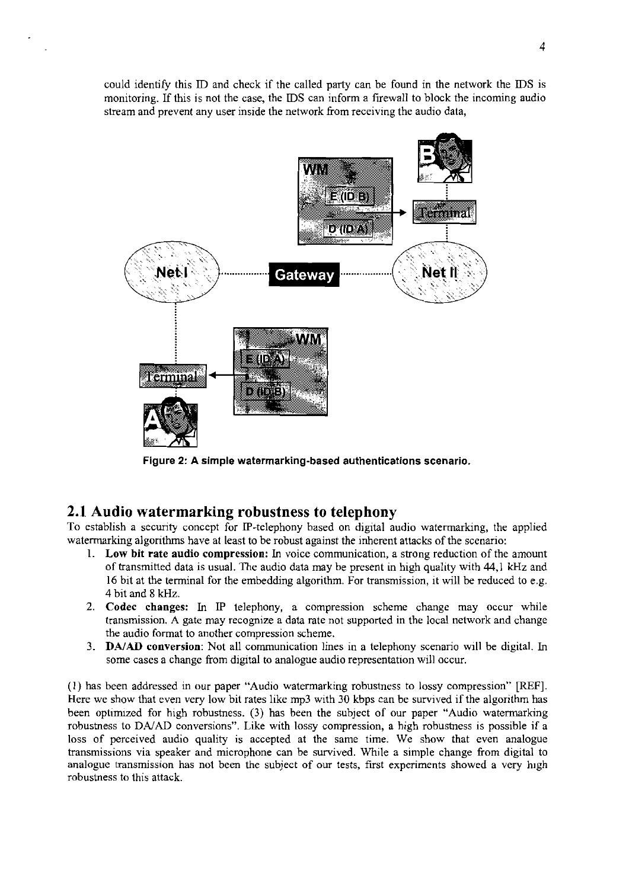could identify this ID and check if the called party can be found in the network the IDS is monitoring. If this is not the case, the IDS can inform a firewall to block the incoming audio stream and prevent any user inside the network from receiving the audio data,



**Figure 2: A simple watermarking-based authentications scenario.** 

#### **2.1 Audio watermarking robustness to telephony**

To cstablish a secunty concept for IP-telephony based on digital audio watermarking, the applied watermarking algorithms have at least to be robust against the inherent attacks of the scenario:

- 1. **Low bit rate audio compression: in** voice communication, a strong reduction of the amount of transmined data is usual. The audio data rnay be present in high quality with 44,l **kHz** and 16 bit at the terminal for the embedding algorithm. For transrnission, it will be reduced to e.g. 4 bit and 8 **kHz.**
- **2. Codec cbanges: in** IP telephony, a compression scheme change may occur while transrnission. A gate may recognize a data rate not supported in the local network and change the audio format to another compression scheme.
- 3. **DAIAD conversion:** Not all cornmunication lines in a telephony Scenario will he digital. in some cases a change from digital to analogue audio representation will occur.

(1) has been addressed in our paper "Audio watermarking rohustness to lossy compression" [REF]. Here we show that even very low bit rates like mp3 with 30 kbps can be survived if the algorithm has heen optimized for high rohustness. (3) has been the subject of our paper "Audio watermarking robustness to **DAiAD** conversions". Like with lossy compression, a high rohustness is possihle if a loss of perceived audio quality is accepted at the same time. We show that even analogue transmissions via speaker and microphone can **be** survived. While a simple change from digital to analogue transmission has not been the subject of our tests, first experiments showed a very high robustness to this attack.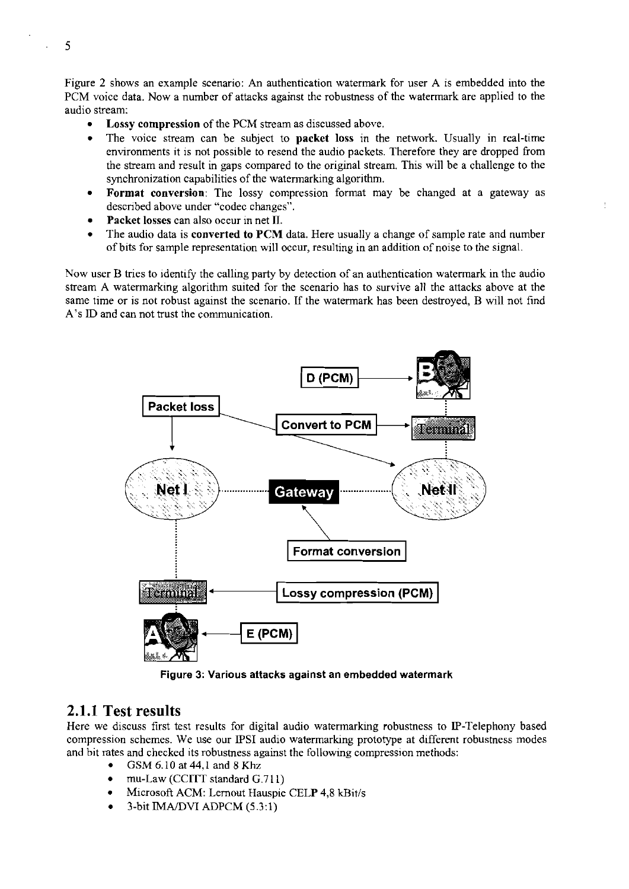Figure 2 shows an example scenario: An authentication watermark for user A is embedded into the PCM voice data. Now a number of attacks against the robustness of the watermark are applied to the audio stream:

- Lossy compression of the PCM stream as discussed above.
- The voice stream can be subject to packet loss in the network. Usually in real-time  $\bullet$ environments it is not possible to resend the audio packets. Therefore they are dropped from the stream and result in gaps compared to the original stream. This will be a challenge to the synchronization capabilities of the watermarking algorithm.
- Format conversion: The lossy compression format may be changed at a gateway as descnbed above under "codec changes".
- Packet losses can also occur in net **TI.**
- The audio data is converted to PCM data. Here usually a change of sample rate and number of bits for sample representation will occur, resulting in an addition of noise to the signal.

Now user B tries to identify the calling party by detection of an authentication watermark in the audio stream A watermarking algorithm suited for the scenario has to survive all the attacks above at the same time or is not robust against the scenario. If the watermark has been destroyed, B will not find A's ID and can not trust the comrnunication.



Figure **3:** Various attacks against an embedded watermark

#### **2.1.1 Test results**

Here we discuss first test results for digital audio watermarking robustness to IP-Telephony based compression schemes. We use our IPSI audio watermarking prototype at different robustness modes and bit rates and checked its robustness against the following compression methods:

- GSM 6.10 at 44,1 and 8 Khz
- mu-Law (CCiTT standard G.7 11)  $\bullet$
- Microsoft ACM: Lernout Hauspie CELP 4,8 kBit/s
- 3-bit IMA/DVI ADPCM (5.3:1)

5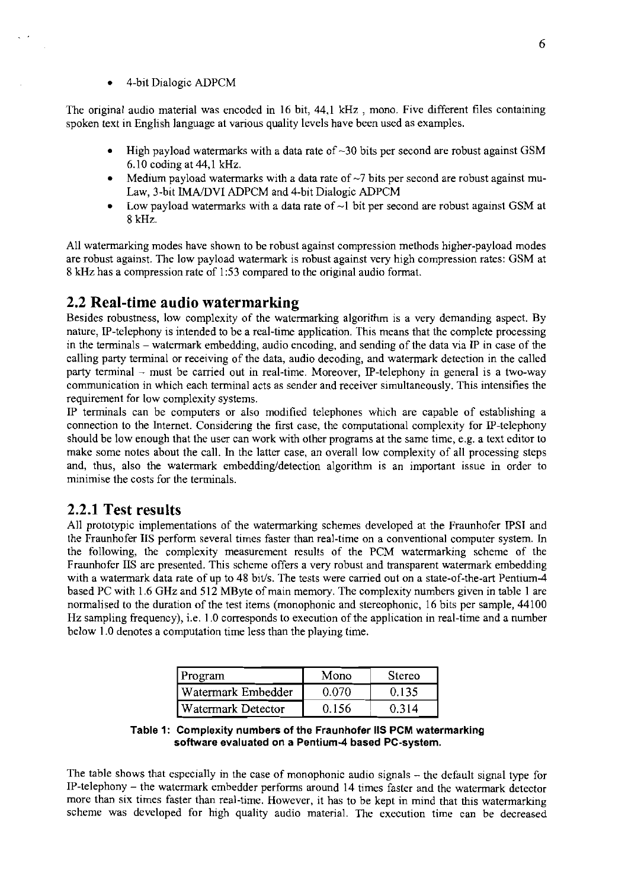The original audio material was encoded in 16 bit, 44.1 **kHz** , mono. Five different files containing spoken text in English language at various quality levels have been used as examples.

- High payload watermarks with a data rate of  $\sim$ 30 bits per second are robust against GSM 6.10 coding at 44,l **kHz.**
- Medium payload watermarks with a data rate of  $\sim$ 7 bits per second are robust against mu-Law, 3-bit iMA/DVI ADPCM and 4-bit Dialogic ADPCM
- Low payload watermarks with a data rate of  $\sim$ 1 bit per second are robust against GSM at 8 **kHz.**

All watermarking modes have shown to be robust against cornpression methods higher-payload rnodes are robust against. The low payload watermark is robust against very high compression rates: GSM at 8 **Hz** has a compression rate of 1:53 compared to the original audio format.

#### **2.2 Real-time audio watermarking**

Besides robustness, low complexity of the watermarking algorithm is a very demanding aspect. By nature, IP-telephony is intended to be a real-time application. This means that the complete processing in the terminals  $-$  watermark embedding, audio encoding, and sending of the data via IP in case of the calling party terminal or receiving of the data, audio decoding, and watermark detection in the called party terminal - must be carried out in real-time. Moreover, IP-telephony in general is a two-way communication in which each terminal acts as sender and receiver simultaneously. This intensifies the requirement for low complexity Systems.

IP terminals can be computers or also modified telephones which are capable of establishing a connection to the Intemet. Considering the first case, the computational complexity for P-telephony should be low enough that the user can work with other programs at the same time, e.g. a text editor to make some notes about the call. In the latter case. an Overall low complexity of all processing steps and, thus, also the watermark embedding/detection algorithm is an important issue in order to minimise the costs for the terminals.

#### **2.2.1 Test results**

All prototypic implementations of the watermarking schemes developed at the Fraunhofer PSI and the Fraunhofer IIS perform several times faster than real-time on a conventional computer System. In the following, the complexity measurement results of the PCM watermarking scheme of the Fraunhofer IIS are presented. This scheme offers a very robust and transparent watermark embedding with a watermark data rate of up to 48 bit/s. The tests were carried out on a state-of-the-art Pentium-4 based PC with 1.6 GHz and 512 MByte of main memory. The complexity numbers given in table 1 are normalised to the duration of the test items (monophonic and stereophonic, 16 bits per sample, 44100 **Hz** sampling frequency), i.e. 1 .O corresponds to execution of the application in real-time and a number below 1.0 denotes a computation time less than the playing time.

| Program            | Mono          | Stereo |
|--------------------|---------------|--------|
| Watermark Embedder | <u>Ი Ი</u> 7Ი | 0.135  |
| Watermark Detector | 0.156         | 0.314  |

**Table 1: Complexity numbers of the Fraunhofer IIS PCM watermarking Software evaluated on a Pentium-4 based PC-system.** 

The table shows that especially in the case of monophonic audio signals - the default signal type for IP-telephony - the watermark embcdder performs around 14 times faster and the watermark detector more than six times faster than real-time. However, it has to be kept in mind that this watermarking scheme was developed for high quality audio material. The execution time can be decreased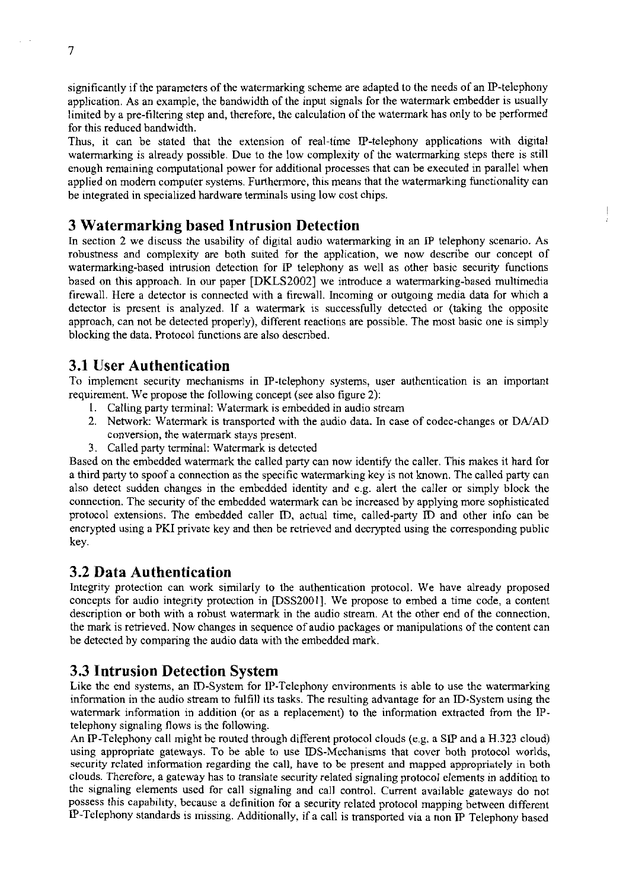significantly if the parameters of the watermarking scheme are adapted to the needs of an IP-telephony application. As an example, the bandwidth of the input signals for the watermark embedder is usually limited by a pre-filtering step and, therefore, the calculation of the watermark has only to be performed for this reduced bandwidth.

Thus, it can be stated that the extension of real-time P-telephony applications with digital watermarking is already possible. Due to the low complexity of the watermarking steps there is still enough remaining computational power for additional processes that can be executed in parallel when applied on modern computer systems. Furthermore, this means that the watermarking functionality can be integrated in specialized hardware terminals using low cost chips.

## **3 Watermarking based Intrusion Detection**

In section 2 we discuss the usability of digital audio watermarking in an IP telephony scenario. As robustness and complexity are both suited for the application, we now describe our concept of watermarking-based intrusion detection for IP telephony as well as other basic security functions based on this approach. In our paper [DKLS2002] we introduce a watermarking-based multimedia firewall. Here a detector is connected with a firewall. Incoming or outgoing media data for which a detector is present is analyzed. lf a watermark is successfully detected or (taking the opposite approach, can not be detected properly), different reactions are possible. The most basic one is simply blocking the data. Protocol functions are also descnbed.

#### **3.1 User Authentication**

To implement security mechanisms in IP-telephony systems, User authentication is an important requirement. We propose the following concept (see also figure 2):

- I. Calling party terminal: Watermark is embedded in audio stream
- 2. Network: Watermark is iransported with the audio data. In case of codec-changes or DNAD conversion, the watermark stays present.
- 3. Called party terminal: Watermark is detected

Based on the embedded watermark the called party can now identify the caller. This makes it hard for a third party to spoof a connection as the specific watermarking key is not known. The called party can also detect sudden changes in the embedded identity and e.g. alert the caller or simply block the connection. The securiiy of the embedded watermark can be increased by applying more sophisticated protocol extensions. The embedded caller D. actual time, called-party D and other info can be encrypted using a PKI private key and then be retrieved and decrypted using the corresponding public key.

#### **3.2 Data Authentication**

Integrity protection can work similarly to the authentication protocol. We have already proposed concepts for audio integrity protection in [DSS2001]. We propose to embed a time code, a content description or both with a robust watermark in the audio stream. At the other end of the connection, the mark is retrieved. Now cbanges in sequence of audio packages or manipulations of the content can be detected by comparing the audio data with the embedded mark.

#### **3.3 Intrusion Detection System**

Like the end systems, an D-System for P-Telepbony environments is able to use the watermarking information in the audio stream to fulfill its tasks. The resulting advantage for an D-System using the watermark information in addition (or as a replacement) to the information extracted from the Ptelephony signaling flows is the following.

An IP-Telephony call might be routed through different protocol clouds (e.g. a SIP and a H.323 cloud) using appropnate gateways. To be able to use DS-Mechanisms that Cover both protocol worlds, security related information regarding the call, have to be present and mapped appropriately in both clouds. Therefore, a gateway has to translate security related signaling protocol elements in addition to the signaling elements used for call signaling and call control. Current available gateways do not possess this capahility, because a definition for a security related protocol mapping between different IP-Telephony standards is missing. Additionally, if a call is transported via a non IP Telephony based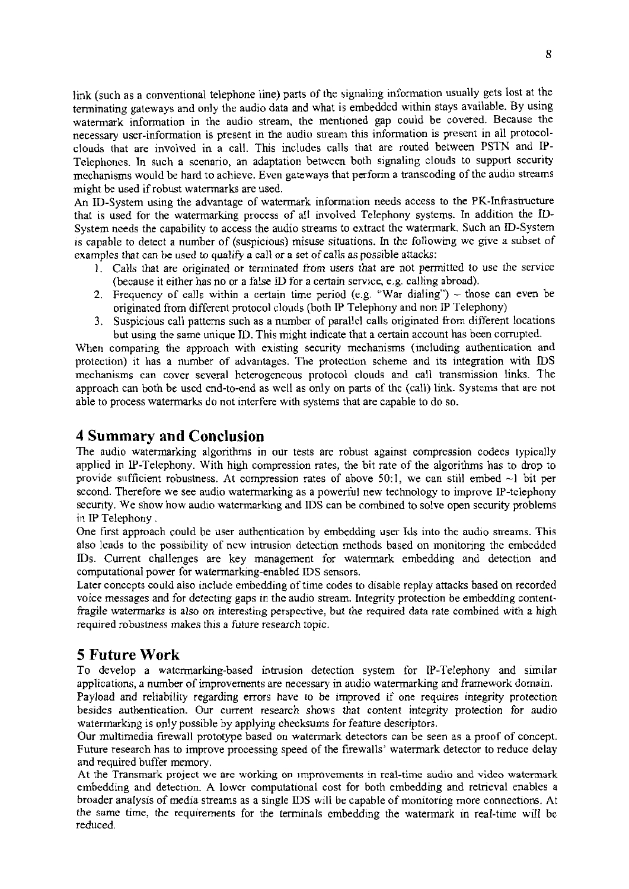link (such as a conventional telephone line) parts of the signaling information usually gets lost at the terminating gateways and only the audio data and what is embedded within stays available. By using watermark information in the audio stream, the mentioned gap could be covered. Because the necessary user-information is present in the audio suream this information is present in all protocolclouds that are involved in a call. This includes calls that are routed between PSTN and IP-Telephones. In such a scenario, an adaptation between both signaling clouds to support security mechanisms would be hard to achieve. Even gateways that perform a transcoding of the audio streams might be used if robust watermarks are used.

An ID-System using the advantage of watermark information needs access to the PK-Infrastructure that is used for the watermarking process of all involved Telephony systems. In addition the **ID-**System needs the capability to access the audio streams to extract the watermark. Such an ID-System is capable to detect a number of (suspicious) misuse situations. In the following we give a subset of examples that can be used to qualify a call or a set of calls as possible attacks:

- 1. Calls that are originated or terminated from Users that are not permitted to use the service (because it either has no or a false ID for a certain service, e.g. calling abroad).
- 2. Frequency of calls within a certain time period (e.g. "War dialing") those can even be originated from different protocol clouds (both P Telephony and non IP Telephony)
- 3. Suspicious call patterns such as a number of parallel calls originated from different locations but using the same unique ID. This might indicate that a certain account has been corrupted.

When comparing the approach with existing security mechanisms (including authentication and protection) it has a nurnber of advantages. The protection scheme and its integration with IDS mechanisms can Cover several heterogeneous protocol clouds and call transmission links. The approach can hoth be used end-to-end as well as only on parts of the (call) link. Systems that are not able to process watermarks do not interfere with systems that are capable to do so.

## **4 Summary and Conclusion**

The audio watermarking algorithms in our tests are robust against compression codecs typically applied in W-Telephony. With high compression rates, the bit rate of the algorithms has to drop to provide sufficient robustness. At compression rates of above 50:1, we can still embed  $\sim$ 1 bit per second. Therefore we see audio watermarking as a powerful new technology to improve IP-tclephony security. We show how audio watermarking and IDS can be combined to solve open security problems in IP Telephony .

One first approach could be user authentication by embedding user Ids into the audio streams. This also leads to the possibility of new intrusion detection methods based on monitoring the embedded IDs. Current challenges are key management for watermark embedding and detection and computational power for watcrmarking-enabled IDS sensors.

Later conccpts could also include embedding of time codes to disable replay atiacks hased on recorded voice messages and for detecting gaps in the audio stream. lntegrity protection be embedding contenifragile watermarks is also on interesting perspcctive, but the required data rate comhined with a high required robustness makes this a future research topic.

# **5 Future Work**

To develop a watcrmarking-based intrusion detection system for P-Telephony and similar applications, a number of improvements are necessary in audio watermarking and framework domain.

Payload and reliability regarding errors have to be improved if one requires integrity protection besides authentication. Our current research shows that content integriiy protection for audio watermarking is only possible by applying checksums for feature descriptors.

Our multimedia firewall prototype based on watermark detectors can be seen as a proof of concept. Future research **has** to improve processing speed of the firewalls' watermark detector to reduce delay and required buffer memory.

At the Transmark project **we** me working on improvements in real-time **audio and video watennark**  embedding and detection. A lower computational cost for both embedding and retneval enables a broader analysis of media streams as a Single JDS will be capable of monitoring more connections. At the same time, the requirements for the terminals embedding the watermark in real-time will he reduced.